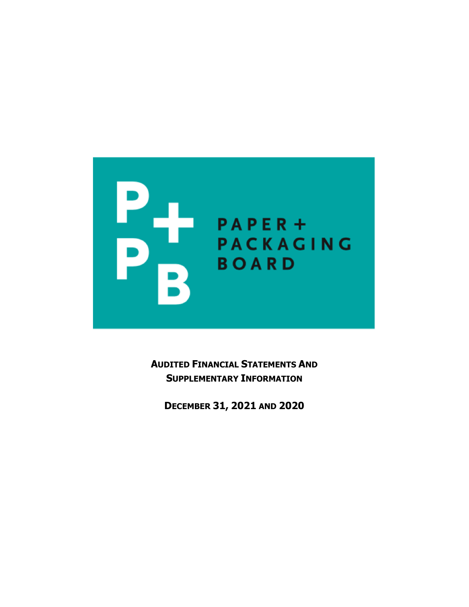

**AUDITED FINANCIAL STATEMENTS AND SUPPLEMENTARY INFORMATION**

**DECEMBER 31, 2021 AND 2020**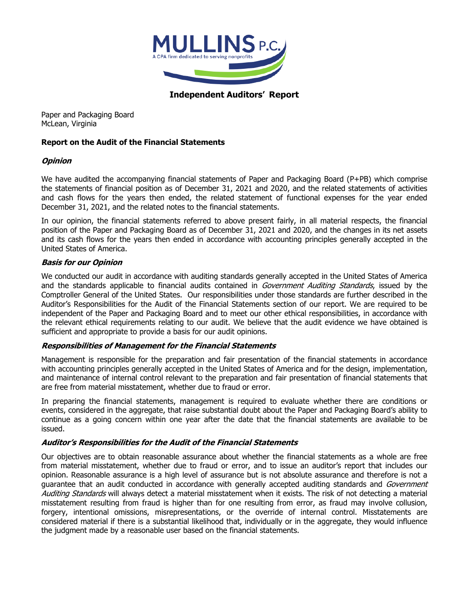

**Independent Auditors' Report**

Paper and Packaging Board McLean, Virginia

## **Report on the Audit of the Financial Statements**

## **Opinion**

We have audited the accompanying financial statements of Paper and Packaging Board (P+PB) which comprise the statements of financial position as of December 31, 2021 and 2020, and the related statements of activities and cash flows for the years then ended, the related statement of functional expenses for the year ended December 31, 2021, and the related notes to the financial statements.

In our opinion, the financial statements referred to above present fairly, in all material respects, the financial position of the Paper and Packaging Board as of December 31, 2021 and 2020, and the changes in its net assets and its cash flows for the years then ended in accordance with accounting principles generally accepted in the United States of America.

#### **Basis for our Opinion**

We conducted our audit in accordance with auditing standards generally accepted in the United States of America and the standards applicable to financial audits contained in *Government Auditing Standards*, issued by the Comptroller General of the United States. Our responsibilities under those standards are further described in the Auditor's Responsibilities for the Audit of the Financial Statements section of our report. We are required to be independent of the Paper and Packaging Board and to meet our other ethical responsibilities, in accordance with the relevant ethical requirements relating to our audit. We believe that the audit evidence we have obtained is sufficient and appropriate to provide a basis for our audit opinions.

#### **Responsibilities of Management for the Financial Statements**

Management is responsible for the preparation and fair presentation of the financial statements in accordance with accounting principles generally accepted in the United States of America and for the design, implementation, and maintenance of internal control relevant to the preparation and fair presentation of financial statements that are free from material misstatement, whether due to fraud or error.

In preparing the financial statements, management is required to evaluate whether there are conditions or events, considered in the aggregate, that raise substantial doubt about the Paper and Packaging Board's ability to continue as a going concern within one year after the date that the financial statements are available to be issued.

## **Auditor's Responsibilities for the Audit of the Financial Statements**

Our objectives are to obtain reasonable assurance about whether the financial statements as a whole are free from material misstatement, whether due to fraud or error, and to issue an auditor's report that includes our opinion. Reasonable assurance is a high level of assurance but is not absolute assurance and therefore is not a guarantee that an audit conducted in accordance with generally accepted auditing standards and Government Auditing Standards will always detect a material misstatement when it exists. The risk of not detecting a material misstatement resulting from fraud is higher than for one resulting from error, as fraud may involve collusion, forgery, intentional omissions, misrepresentations, or the override of internal control. Misstatements are considered material if there is a substantial likelihood that, individually or in the aggregate, they would influence the judgment made by a reasonable user based on the financial statements.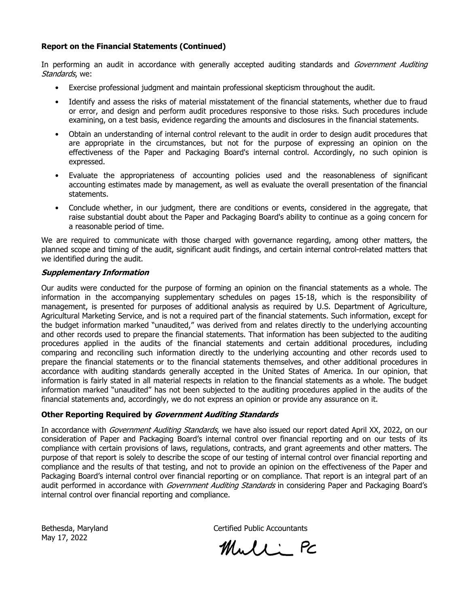# **Report on the Financial Statements (Continued)**

In performing an audit in accordance with generally accepted auditing standards and Government Auditing Standards, we:

- Exercise professional judgment and maintain professional skepticism throughout the audit.
- Identify and assess the risks of material misstatement of the financial statements, whether due to fraud or error, and design and perform audit procedures responsive to those risks. Such procedures include examining, on a test basis, evidence regarding the amounts and disclosures in the financial statements.
- Obtain an understanding of internal control relevant to the audit in order to design audit procedures that are appropriate in the circumstances, but not for the purpose of expressing an opinion on the effectiveness of the Paper and Packaging Board's internal control. Accordingly, no such opinion is expressed.
- Evaluate the appropriateness of accounting policies used and the reasonableness of significant accounting estimates made by management, as well as evaluate the overall presentation of the financial statements.
- Conclude whether, in our judgment, there are conditions or events, considered in the aggregate, that raise substantial doubt about the Paper and Packaging Board's ability to continue as a going concern for a reasonable period of time.

We are required to communicate with those charged with governance regarding, among other matters, the planned scope and timing of the audit, significant audit findings, and certain internal control-related matters that we identified during the audit.

#### **Supplementary Information**

Our audits were conducted for the purpose of forming an opinion on the financial statements as a whole. The information in the accompanying supplementary schedules on pages 15-18, which is the responsibility of management, is presented for purposes of additional analysis as required by U.S. Department of Agriculture, Agricultural Marketing Service, and is not a required part of the financial statements. Such information, except for the budget information marked "unaudited," was derived from and relates directly to the underlying accounting and other records used to prepare the financial statements. That information has been subjected to the auditing procedures applied in the audits of the financial statements and certain additional procedures, including comparing and reconciling such information directly to the underlying accounting and other records used to prepare the financial statements or to the financial statements themselves, and other additional procedures in accordance with auditing standards generally accepted in the United States of America. In our opinion, that information is fairly stated in all material respects in relation to the financial statements as a whole. The budget information marked "unaudited" has not been subjected to the auditing procedures applied in the audits of the financial statements and, accordingly, we do not express an opinion or provide any assurance on it.

#### **Other Reporting Required by Government Auditing Standards**

In accordance with Government Auditing Standards, we have also issued our report dated April XX, 2022, on our consideration of Paper and Packaging Board's internal control over financial reporting and on our tests of its compliance with certain provisions of laws, regulations, contracts, and grant agreements and other matters. The purpose of that report is solely to describe the scope of our testing of internal control over financial reporting and compliance and the results of that testing, and not to provide an opinion on the effectiveness of the Paper and Packaging Board's internal control over financial reporting or on compliance. That report is an integral part of an audit performed in accordance with *Government Auditing Standards* in considering Paper and Packaging Board's internal control over financial reporting and compliance.

May 17, 2022

Bethesda, Maryland **Certified Public Accountants** 

Mulli PC